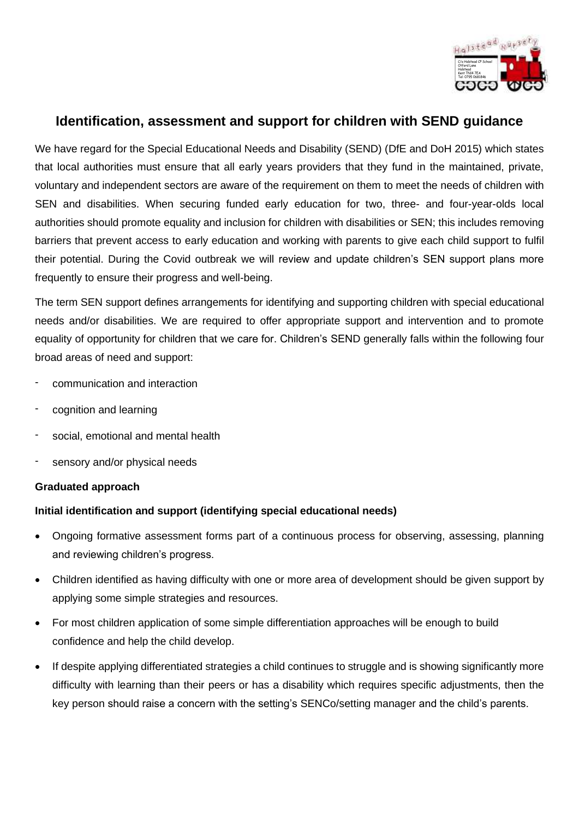

# **Identification, assessment and support for children with SEND guidance**

We have regard for the Special Educational Needs and Disability (SEND) (DfE and DoH 2015) which states that local authorities must ensure that all early years providers that they fund in the maintained, private, voluntary and independent sectors are aware of the requirement on them to meet the needs of children with SEN and disabilities. When securing funded early education for two, three- and four-year-olds local authorities should promote equality and inclusion for children with disabilities or SEN; this includes removing barriers that prevent access to early education and working with parents to give each child support to fulfil their potential. During the Covid outbreak we will review and update children's SEN support plans more frequently to ensure their progress and well-being.

The term SEN support defines arrangements for identifying and supporting children with special educational needs and/or disabilities. We are required to offer appropriate support and intervention and to promote equality of opportunity for children that we care for. Children's SEND generally falls within the following four broad areas of need and support:

- communication and interaction
- cognition and learning
- social, emotional and mental health
- sensory and/or physical needs

#### **Graduated approach**

### **Initial identification and support (identifying special educational needs)**

- Ongoing formative assessment forms part of a continuous process for observing, assessing, planning and reviewing children's progress.
- Children identified as having difficulty with one or more area of development should be given support by applying some simple strategies and resources.
- For most children application of some simple differentiation approaches will be enough to build confidence and help the child develop.
- If despite applying differentiated strategies a child continues to struggle and is showing significantly more difficulty with learning than their peers or has a disability which requires specific adjustments, then the key person should raise a concern with the setting's SENCo/setting manager and the child's parents.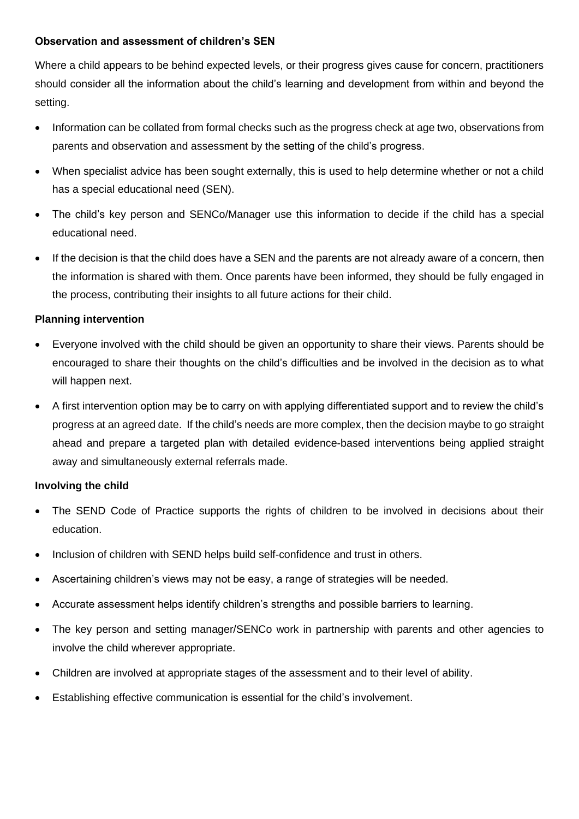#### **Observation and assessment of children's SEN**

Where a child appears to be behind expected levels, or their progress gives cause for concern, practitioners should consider all the information about the child's learning and development from within and beyond the setting.

- Information can be collated from formal checks such as the progress check at age two, observations from parents and observation and assessment by the setting of the child's progress.
- When specialist advice has been sought externally, this is used to help determine whether or not a child has a special educational need (SEN).
- The child's key person and SENCo/Manager use this information to decide if the child has a special educational need.
- If the decision is that the child does have a SEN and the parents are not already aware of a concern, then the information is shared with them. Once parents have been informed, they should be fully engaged in the process, contributing their insights to all future actions for their child.

### **Planning intervention**

- Everyone involved with the child should be given an opportunity to share their views. Parents should be encouraged to share their thoughts on the child's difficulties and be involved in the decision as to what will happen next.
- A first intervention option may be to carry on with applying differentiated support and to review the child's progress at an agreed date. If the child's needs are more complex, then the decision maybe to go straight ahead and prepare a targeted plan with detailed evidence-based interventions being applied straight away and simultaneously external referrals made.

#### **Involving the child**

- The SEND Code of Practice supports the rights of children to be involved in decisions about their education.
- Inclusion of children with SEND helps build self-confidence and trust in others.
- Ascertaining children's views may not be easy, a range of strategies will be needed.
- Accurate assessment helps identify children's strengths and possible barriers to learning.
- The key person and setting manager/SENCo work in partnership with parents and other agencies to involve the child wherever appropriate.
- Children are involved at appropriate stages of the assessment and to their level of ability.
- Establishing effective communication is essential for the child's involvement.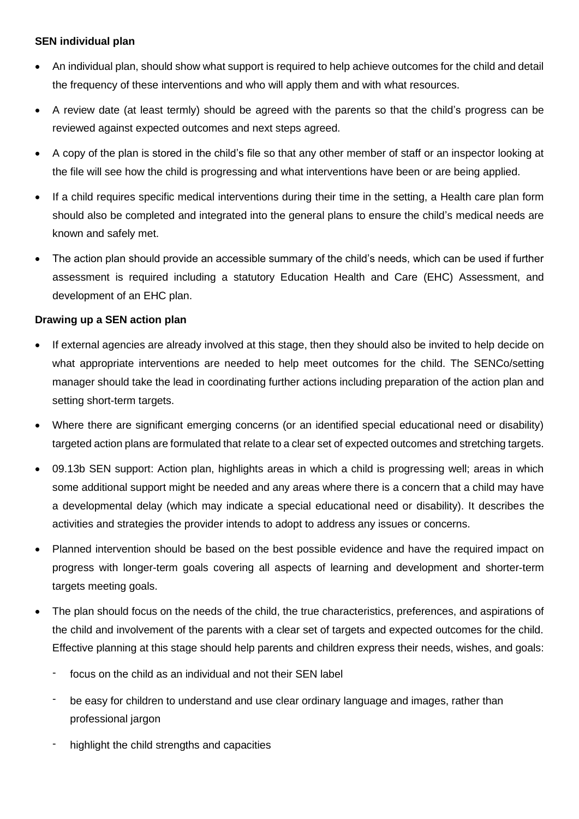### **SEN individual plan**

- An individual plan, should show what support is required to help achieve outcomes for the child and detail the frequency of these interventions and who will apply them and with what resources.
- A review date (at least termly) should be agreed with the parents so that the child's progress can be reviewed against expected outcomes and next steps agreed.
- A copy of the plan is stored in the child's file so that any other member of staff or an inspector looking at the file will see how the child is progressing and what interventions have been or are being applied.
- If a child requires specific medical interventions during their time in the setting, a Health care plan form should also be completed and integrated into the general plans to ensure the child's medical needs are known and safely met.
- The action plan should provide an accessible summary of the child's needs, which can be used if further assessment is required including a statutory Education Health and Care (EHC) Assessment, and development of an EHC plan.

### **Drawing up a SEN action plan**

- If external agencies are already involved at this stage, then they should also be invited to help decide on what appropriate interventions are needed to help meet outcomes for the child. The SENCo/setting manager should take the lead in coordinating further actions including preparation of the action plan and setting short-term targets.
- Where there are significant emerging concerns (or an identified special educational need or disability) targeted action plans are formulated that relate to a clear set of expected outcomes and stretching targets.
- 09.13b SEN support: Action plan, highlights areas in which a child is progressing well; areas in which some additional support might be needed and any areas where there is a concern that a child may have a developmental delay (which may indicate a special educational need or disability). It describes the activities and strategies the provider intends to adopt to address any issues or concerns.
- Planned intervention should be based on the best possible evidence and have the required impact on progress with longer-term goals covering all aspects of learning and development and shorter-term targets meeting goals.
- The plan should focus on the needs of the child, the true characteristics, preferences, and aspirations of the child and involvement of the parents with a clear set of targets and expected outcomes for the child. Effective planning at this stage should help parents and children express their needs, wishes, and goals:
	- focus on the child as an individual and not their SEN label
	- be easy for children to understand and use clear ordinary language and images, rather than professional jargon
	- highlight the child strengths and capacities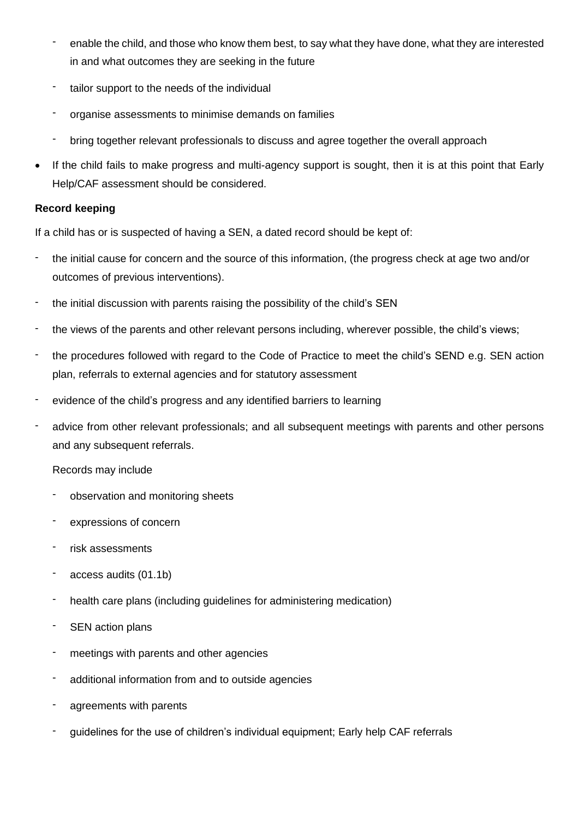- enable the child, and those who know them best, to say what they have done, what they are interested in and what outcomes they are seeking in the future
- tailor support to the needs of the individual
- organise assessments to minimise demands on families
- bring together relevant professionals to discuss and agree together the overall approach
- If the child fails to make progress and multi-agency support is sought, then it is at this point that Early Help/CAF assessment should be considered.

### **Record keeping**

If a child has or is suspected of having a SEN, a dated record should be kept of:

- the initial cause for concern and the source of this information, (the progress check at age two and/or outcomes of previous interventions).
- the initial discussion with parents raising the possibility of the child's SEN
- the views of the parents and other relevant persons including, wherever possible, the child's views;
- the procedures followed with regard to the Code of Practice to meet the child's SEND e.g. SEN action plan, referrals to external agencies and for statutory assessment
- evidence of the child's progress and any identified barriers to learning
- advice from other relevant professionals; and all subsequent meetings with parents and other persons and any subsequent referrals.

#### Records may include

- observation and monitoring sheets
- expressions of concern
- risk assessments
- access audits (01.1b)
- health care plans (including guidelines for administering medication)
- SEN action plans
- meetings with parents and other agencies
- additional information from and to outside agencies
- agreements with parents
- guidelines for the use of children's individual equipment; Early help CAF referrals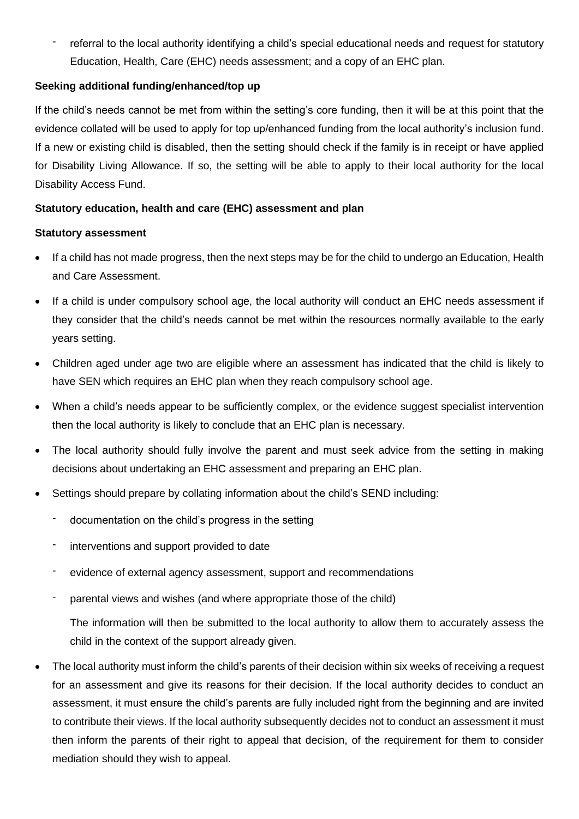referral to the local authority identifying a child's special educational needs and request for statutory Education, Health, Care (EHC) needs assessment; and a copy of an EHC plan.

### **Seeking additional funding/enhanced/top up**

If the child's needs cannot be met from within the setting's core funding, then it will be at this point that the evidence collated will be used to apply for top up/enhanced funding from the local authority's inclusion fund. If a new or existing child is disabled, then the setting should check if the family is in receipt or have applied for Disability Living Allowance. If so, the setting will be able to apply to their local authority for the local Disability Access Fund.

### **Statutory education, health and care (EHC) assessment and plan**

#### **Statutory assessment**

- If a child has not made progress, then the next steps may be for the child to undergo an Education, Health and Care Assessment.
- If a child is under compulsory school age, the local authority will conduct an EHC needs assessment if they consider that the child's needs cannot be met within the resources normally available to the early years setting.
- Children aged under age two are eligible where an assessment has indicated that the child is likely to have SEN which requires an EHC plan when they reach compulsory school age.
- When a child's needs appear to be sufficiently complex, or the evidence suggest specialist intervention then the local authority is likely to conclude that an EHC plan is necessary.
- The local authority should fully involve the parent and must seek advice from the setting in making decisions about undertaking an EHC assessment and preparing an EHC plan.
- Settings should prepare by collating information about the child's SEND including:
	- documentation on the child's progress in the setting
	- interventions and support provided to date
	- evidence of external agency assessment, support and recommendations
	- parental views and wishes (and where appropriate those of the child)

The information will then be submitted to the local authority to allow them to accurately assess the child in the context of the support already given.

• The local authority must inform the child's parents of their decision within six weeks of receiving a request for an assessment and give its reasons for their decision. If the local authority decides to conduct an assessment, it must ensure the child's parents are fully included right from the beginning and are invited to contribute their views. If the local authority subsequently decides not to conduct an assessment it must then inform the parents of their right to appeal that decision, of the requirement for them to consider mediation should they wish to appeal.